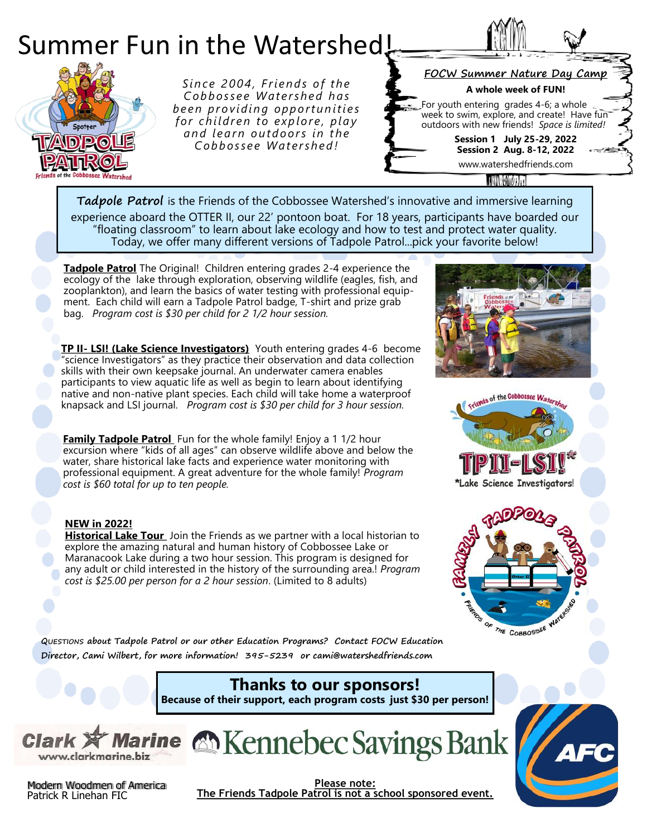

experience aboard the OTTER II, our 22' pontoon boat. For 18 years, participants have boarded our "floating classroom" to learn about lake ecology and how to test and protect water quality. Today, we offer many different versions of Tadpole Patrol...pick your favorite below!

**Tadpole Patrol** The Original! Children entering grades 2-4 experience the ecology of the lake through exploration, observing wildlife (eagles, fish, and zooplankton), and learn the basics of water testing with professional equipment. Each child will earn a Tadpole Patrol badge, T-shirt and prize grab bag. *Program cost is \$30 per child for 2 1/2 hour session.*

**TP II- LSI! (Lake Science Investigators)** Youth entering grades 4-6 become "science Investigators" as they practice their observation and data collection skills with their own keepsake journal. An underwater camera enables participants to view aquatic life as well as begin to learn about identifying native and non-native plant species. Each child will take home a waterproof knapsack and LSI journal. *Program cost is \$30 per child for 3 hour session.* 

**Family Tadpole Patrol** Fun for the whole family! Enjoy a 1 1/2 hour excursion where "kids of all ages" can observe wildlife above and below the water, share historical lake facts and experience water monitoring with professional equipment. A great adventure for the whole family! *Program cost is \$60 total for up to ten people.*

## **NEW in 2022!**

**Historical Lake Tour** Join the Friends as we partner with a local historian to explore the amazing natural and human history of Cobbossee Lake or Maranacook Lake during a two hour session. This program is designed for any adult or child interested in the history of the surrounding area.! *Program cost is \$25.00 per person for a 2 hour session*. (Limited to 8 adults)







**QUESTIONS about Tadpole Patrol or our other Education Programs? Contact FOCW Education Director, Cami Wilbert, for more information! 395-5239 or cami@watershedfriends.com**

## **Thanks to our sponsors! Because of their support, each program costs just \$30 per person!**







**Please note: The Friends Tadpole Patrol is not a school sponsored event.**

Modern Woodmen of America Patrick R Linehan FIC